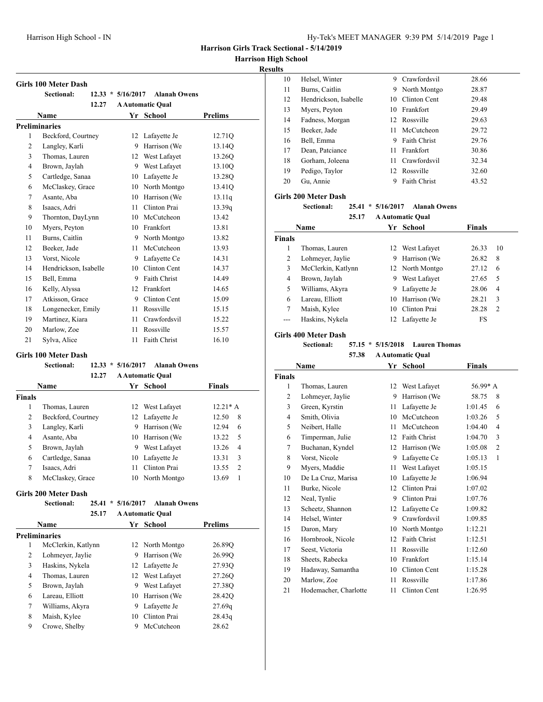**Harrison High School**

# **Results**

|              | <b>Girls 100 Meter Dash</b> |                     |                         |                |
|--------------|-----------------------------|---------------------|-------------------------|----------------|
|              | Sectional:                  | $12.33 * 5/16/2017$ | <b>Alanah Owens</b>     |                |
|              | 12.27                       |                     | <b>A Automatic Qual</b> |                |
|              | Name                        |                     | Yr School               | <b>Prelims</b> |
|              | <b>Preliminaries</b>        |                     |                         |                |
| $\mathbf{1}$ | Beckford, Courtney          | 12                  | Lafayette Je            | 12.71Q         |
| 2            | Langley, Karli              | 9                   | Harrison (We            | 13.14Q         |
| 3            | Thomas, Lauren              | 12                  | West Lafayet            | 13.26O         |
| 4            | Brown, Jaylah               | 9                   | West Lafayet            | 13.10Q         |
| 5            | Cartledge, Sanaa            | 10                  | Lafayette Je            | 13.28Q         |
| 6            | McClaskey, Grace            | 10                  | North Montgo            | 13.41Q         |
| 7            | Asante, Aba                 | 10                  | Harrison (We            | 13.11q         |
| 8            | Isaacs, Adri                | 11                  | Clinton Prai            | 13.39q         |
| 9            | Thornton, DayLynn           | 10                  | McCutcheon              | 13.42          |
| 10           | Myers, Peyton               | 10                  | Frankfort               | 13.81          |
| 11           | Burns, Caitlin              | 9                   | North Montgo            | 13.82          |
| 12           | Beeker, Jade                | 11                  | McCutcheon              | 13.93          |
| 13           | Vorst, Nicole               | 9                   | Lafayette Ce            | 14.31          |
| 14           | Hendrickson, Isabelle       | 10                  | Clinton Cent            | 14.37          |
| 15           | Bell, Emma                  | 9                   | <b>Faith Christ</b>     | 14.49          |
| 16           | Kelly, Alyssa               | 12                  | Frankfort               | 14.65          |
| 17           | Atkisson, Grace             | 9                   | Clinton Cent            | 15.09          |
| 18           | Longenecker, Emily          | 11                  | Rossville               | 15.15          |
| 19           | Martinez, Kiara             | 11                  | Crawfordsvil            | 15.22          |
| 20           | Marlow, Zoe                 | 11                  | Rossville               | 15.57          |
| 21           | Sylva, Alice                | 11                  | <b>Faith Christ</b>     | 16.10          |

#### **Girls 100 Meter Dash**

|               | <b>Sectional:</b>  | 12.33 | $*$ 5/16/2017 | <b>Alanah Owens</b>     |                         |
|---------------|--------------------|-------|---------------|-------------------------|-------------------------|
|               |                    | 12.27 |               | <b>A Automatic Qual</b> |                         |
|               | <b>Name</b>        |       |               | Yr School               | <b>Finals</b>           |
| <b>Finals</b> |                    |       |               |                         |                         |
| 1             | Thomas, Lauren     |       |               | 12 West Lafayet         | $12.21* A$              |
| 2             | Beckford, Courtney |       |               | 12 Lafayette Je         | 8<br>12.50              |
| 3             | Langley, Karli     |       | 9             | Harrison (We            | 12.94<br>6              |
| 4             | Asante, Aba        |       | 10            | Harrison (We            | .5<br>13.22             |
| 5             | Brown, Jaylah      |       | 9             | West Lafayet            | 13.26<br>$\overline{4}$ |
| 6             | Cartledge, Sanaa   |       | 10            | Lafayette Je            | 3<br>13.31              |
| 7             | Isaacs, Adri       |       | 11            | Clinton Prai            | 2<br>13.55              |
| 8             | McClaskey, Grace   |       | 10            | North Montgo            | 1<br>13.69              |
|               |                    |       |               |                         |                         |

# **Girls 200 Meter Dash**

# **Sectional: 25.41 \* 5/16/2017 Alanah Owens**

|   | 25.17                |     | <b>A Automatic Qual</b> |                |
|---|----------------------|-----|-------------------------|----------------|
|   | <b>Name</b>          | Yr. | School                  | <b>Prelims</b> |
|   | <b>Preliminaries</b> |     |                         |                |
| 1 | McClerkin, Katlynn   |     | 12 North Montgo         | 26.89Q         |
| 2 | Lohmeyer, Jaylie     | 9   | Harrison (We            | 26.99Q         |
| 3 | Haskins, Nykela      |     | 12 Lafayette Je         | 27.93Q         |
| 4 | Thomas, Lauren       | 12  | West Lafayet            | 27.26O         |
| 5 | Brown, Jaylah        | 9   | West Lafayet            | 27.38Q         |
| 6 | Lareau, Elliott      | 10  | Harrison (We            | 28.42Q         |
| 7 | Williams, Akyra      | 9   | Lafayette Je            | 27.69q         |
| 8 | Maish, Kylee         | 10  | Clinton Prai            | 28.43q         |
| 9 | Crowe, Shelby        | 9   | McCutcheon              | 28.62          |
|   |                      |     |                         |                |

| ιts |                       |     |                     |       |  |
|-----|-----------------------|-----|---------------------|-------|--|
| 10  | Helsel, Winter        | 9   | Crawfordsvil        | 28.66 |  |
| 11  | Burns, Caitlin        | 9   | North Montgo        | 28.87 |  |
| 12  | Hendrickson, Isabelle |     | 10 Clinton Cent     | 29.48 |  |
| 13  | Myers, Peyton         |     | 10 Frankfort        | 29.49 |  |
| 14  | Fadness, Morgan       |     | 12 Rossville        | 29.63 |  |
| 15  | Beeker, Jade          | 11  | McCutcheon          | 29.72 |  |
| 16  | Bell, Emma            | 9   | <b>Faith Christ</b> | 29.76 |  |
| 17  | Dean, Patciance       | 11. | Frankfort           | 30.86 |  |
| 18  | Gorham, Joleena       |     | 11 Crawfordsvil     | 32.34 |  |
| 19  | Pedigo, Taylor        |     | 12 Rossville        | 32.60 |  |
| 20  | Gu, Annie             | 9   | <b>Faith Christ</b> | 43.52 |  |
|     |                       |     |                     |       |  |

# **Girls 200 Meter Dash**

**Sectional: 25.41 \* 5/16/2017 Alanah Owens**

**25.17 A Automatic Qual**

|                | Name               |    | Yr School       | <b>Finals</b> |                |
|----------------|--------------------|----|-----------------|---------------|----------------|
| <b>Finals</b>  |                    |    |                 |               |                |
|                | Thomas, Lauren     |    | 12 West Lafayet | 26.33         | 10             |
| $\overline{c}$ | Lohmeyer, Jaylie   | 9  | Harrison (We    | 26.82         | 8              |
| 3              | McClerkin, Katlynn |    | 12 North Montgo | 27.12         | 6              |
| 4              | Brown, Jaylah      | 9  | West Lafayet    | 27.65         | .5             |
| 5              | Williams, Akyra    | 9  | Lafayette Je    | 28.06         | 4              |
| 6              | Lareau, Elliott    | 10 | Harrison (We    | 28.21         | 3              |
| 7              | Maish, Kylee       | 10 | Clinton Prai    | 28.28         | $\overline{2}$ |
|                | Haskins, Nykela    | 12 | Lafayette Je    | FS            |                |

#### **Girls 400 Meter Dash**

**Sectional: 57.15 \* 5/15/2018 Lauren Thomas**

|                | Name                  | Yr | <b>School</b>       | <b>Finals</b>             |
|----------------|-----------------------|----|---------------------|---------------------------|
| <b>Finals</b>  |                       |    |                     |                           |
| 1              | Thomas, Lauren        | 12 | West Lafayet        | $56.99* A$                |
| $\overline{2}$ | Lohmeyer, Jaylie      | 9  | Harrison (We        | 58.75<br>8                |
| 3              | Green, Kyrstin        | 11 | Lafayette Je        | 1:01.45<br>6              |
| $\overline{4}$ | Smith, Olivia         | 10 | McCutcheon          | 1:03.26<br>5              |
| 5              | Neibert, Halle        | 11 | McCutcheon          | 1:04.40<br>$\overline{4}$ |
| 6              | Timperman, Julie      | 12 | Faith Christ        | 3<br>1:04.70              |
| 7              | Buchanan, Kyndel      | 12 | Harrison (We        | $\overline{2}$<br>1:05.08 |
| 8              | Vorst, Nicole         | 9  | Lafayette Ce        | 1:05.13<br>1              |
| 9              | Myers, Maddie         | 11 | West Lafayet        | 1:05.15                   |
| 10             | De La Cruz, Marisa    | 10 | Lafayette Je        | 1:06.94                   |
| 11             | Burke, Nicole         | 12 | Clinton Prai        | 1:07.02                   |
| 12             | Neal, Tynlie          | 9  | Clinton Prai        | 1:07.76                   |
| 13             | Scheetz, Shannon      | 12 | Lafayette Ce        | 1:09.82                   |
| 14             | Helsel, Winter        | 9  | Crawfordsvil        | 1:09.85                   |
| 15             | Daron, Mary           | 10 | North Montgo        | 1:12.21                   |
| 16             | Hornbrook, Nicole     | 12 | <b>Faith Christ</b> | 1:12.51                   |
| 17             | Seest, Victoria       | 11 | Rossville           | 1:12.60                   |
| 18             | Sheets, Rabecka       | 10 | Frankfort           | 1:15.14                   |
| 19             | Hadaway, Samantha     | 10 | Clinton Cent        | 1:15.28                   |
| 20             | Marlow, Zoe           | 11 | Rossville           | 1:17.86                   |
| 21             | Hodemacher, Charlotte | 11 | Clinton Cent        | 1:26.95                   |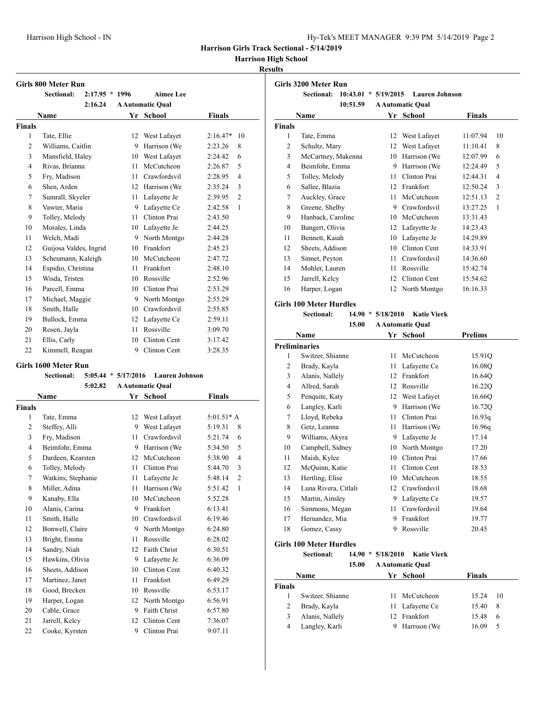**Harrison High School**

# **Results**

# **Girls 800 Meter Run**

| GIFIS OUU MEIEF KUII |                        |                  |    |                         |               |                |  |  |
|----------------------|------------------------|------------------|----|-------------------------|---------------|----------------|--|--|
|                      | Sectional:             | $2:17.95 * 1996$ |    | <b>Aimee Lee</b>        |               |                |  |  |
|                      |                        | 2:16.24          |    | <b>A Automatic Qual</b> |               |                |  |  |
|                      | <b>Name</b>            |                  |    | Yr School               | <b>Finals</b> |                |  |  |
| <b>Finals</b>        |                        |                  |    |                         |               |                |  |  |
| 1                    | Tate, Ellie            |                  | 12 | West Lafayet            | $2:16.47*$    | 10             |  |  |
| 2                    | Williams, Caitlin      |                  | 9  | Harrison (We            | 2:23.26       | 8              |  |  |
| 3                    | Mansfield, Haley       |                  | 10 | West Lafayet            | 2:24.42       | 6              |  |  |
| 4                    | Rivas, Brianna         |                  | 11 | McCutcheon              | 2:26.87       | 5              |  |  |
| 5                    | Fry, Madison           |                  | 11 | Crawfordsvil            | 2:28.95       | 4              |  |  |
| 6                    | Shen, Arden            |                  | 12 | Harrison (We            | 2:35.24       | 3              |  |  |
| 7                    | Sumrall, Skyeler       |                  | 11 | Lafayette Je            | 2:39.95       | $\overline{c}$ |  |  |
| 8                    | Vawter, Maria          |                  | 9  | Lafayette Ce            | 2:42.58       | 1              |  |  |
| 9                    | Tolley, Melody         |                  | 11 | Clinton Prai            | 2:43.50       |                |  |  |
| 10                   | Morales, Linda         |                  | 10 | Lafayette Je            | 2:44.25       |                |  |  |
| 11                   | Welch, Madi            |                  | 9  | North Montgo            | 2:44.28       |                |  |  |
| 12                   | Guijosa Valdes, Ingrid |                  | 10 | Frankfort               | 2:45.23       |                |  |  |
| 13                   | Scheumann, Kaleigh     |                  | 10 | McCutcheon              | 2:47.72       |                |  |  |
| 14                   | Espidio, Christina     |                  | 11 | Frankfort               | 2:48.10       |                |  |  |
| 15                   | Wisda, Tristen         |                  | 10 | Rossville               | 2:52.96       |                |  |  |
| 16                   | Parcell, Emma          |                  | 10 | Clinton Prai            | 2:53.29       |                |  |  |
| 17                   | Michael, Maggie        |                  | 9  | North Montgo            | 2:55.29       |                |  |  |
| 18                   | Smith, Halle           |                  | 10 | Crawfordsvil            | 2:55.85       |                |  |  |
| 19                   | Bullock, Emma          |                  | 12 | Lafayette Ce            | 2:59.11       |                |  |  |
| 20                   | Rosen, Jayla           |                  | 11 | Rossville               | 3:09.70       |                |  |  |
| 21                   | Ellis, Carly           |                  | 10 | Clinton Cent            | 3:17.42       |                |  |  |
| 22                   | Kimmell, Reagan        |                  | 9  | Clinton Cent            | 3:28.35       |                |  |  |

### **Girls 1600 Meter Run**

|  |  |  |  | Sectional: 5:05.44 * 5/17/2016 Lauren Johnson |
|--|--|--|--|-----------------------------------------------|
|--|--|--|--|-----------------------------------------------|

|               | 5:02.82            |    | <b>A Automatic Qual</b> |                           |
|---------------|--------------------|----|-------------------------|---------------------------|
|               | Name               |    | Yr School               | <b>Finals</b>             |
| <b>Finals</b> |                    |    |                         |                           |
| 1             | Tate, Emma         | 12 | West Lafayet            | $5:01.51* A$              |
| 2             | Steffey, Alli      | 9  | West Lafayet            | 5:19.31<br>8              |
| 3             | Fry, Madison       | 11 | Crawfordsvil            | 5:21.74<br>6              |
| 4             | Beimfohr, Emma     | 9  | Harrison (We            | 5:34.50<br>5              |
| 5             | Dardeen, Kearsten  | 12 | McCutcheon              | 5:38.90<br>4              |
| 6             | Tolley, Melody     | 11 | Clinton Prai            | 3<br>5:44.70              |
| 7             | Watkins, Stephanie | 11 | Lafayette Je            | 5:48.14<br>$\overline{2}$ |
| 8             | Miller, Adina      | 11 | Harrison (We            | $\mathbf{1}$<br>5:51.42   |
| 9             | Kanaby, Ella       | 10 | McCutcheon              | 5:52.28                   |
| 10            | Alanis, Carina     | 9  | Frankfort               | 6:13.41                   |
| 11            | Smith, Halle       | 10 | Crawfordsvil            | 6:19.46                   |
| 12            | Bonwell, Claire    | 9  | North Montgo            | 6:24.80                   |
| 13            | Bright, Emma       | 11 | Rossville               | 6:28.02                   |
| 14            | Sandry, Niah       | 12 | <b>Faith Christ</b>     | 6:30.51                   |
| 15            | Hawkins, Olivia    | 9  | Lafayette Je            | 6:36.09                   |
| 16            | Sheets, Addison    | 10 | Clinton Cent            | 6:40.32                   |
| 17            | Martinez, Janet    | 11 | Frankfort               | 6:49.29                   |
| 18            | Good, Brecken      | 10 | Rossville               | 6:53.17                   |
| 19            | Harper, Logan      | 12 | North Montgo            | 6:56.91                   |
| 20            | Cable, Grace       | 9  | <b>Faith Christ</b>     | 6:57.80                   |
| 21            | Jarrell, Kelcy     | 12 | Clinton Cent            | 7:36.07                   |
| 22            | Cooke, Kyrsten     | 9  | Clinton Prai            | 9:07.11                   |

| Girls 3200 Meter Run |                        |               |                         |               |                |  |
|----------------------|------------------------|---------------|-------------------------|---------------|----------------|--|
|                      | 10:43.01<br>Sectional: | * $5/19/2015$ | <b>Lauren Johnson</b>   |               |                |  |
|                      | 10:51.59               |               | <b>A Automatic Qual</b> |               |                |  |
|                      | Name                   |               | Yr School               | <b>Finals</b> |                |  |
| <b>Finals</b>        |                        |               |                         |               |                |  |
| 1                    | Tate, Emma             | 12            | West Lafayet            | 11:07.94      | 10             |  |
| 2                    | Schultz, Mary          | 12            | West Lafayet            | 11:10.41      | 8              |  |
| 3                    | McCartney, Makenna     | 10            | Harrison (We            | 12:07.99      | 6              |  |
| 4                    | Beimfohr, Emma         | 9             | Harrison (We            | 12:24.49      | 5              |  |
| 5                    | Tolley, Melody         | 11            | Clinton Prai            | 12:44.31      | 4              |  |
| 6                    | Sallee, Blazia         | 12            | Frankfort               | 12:50.24      | 3              |  |
| 7                    | Auckley, Grace         | 11            | McCutcheon              | 12:51.13      | $\overline{2}$ |  |
| 8                    | Greene, Shelby         | 9             | Crawfordsvil            | 13:27.25      | 1              |  |
| 9                    | Hanback, Caroline      | 10            | McCutcheon              | 13:31.43      |                |  |
| 10                   | Bangert, Olivia        | 12            | Lafayette Je            | 14:23.43      |                |  |
| 11                   | Bennett, Kaiah         | 10            | Lafayette Je            | 14:29.89      |                |  |
| 12                   | Sheets, Addison        | 10            | Clinton Cent            | 14:33.91      |                |  |
| 13                   | Sinnet, Peyton         | 11            | Crawfordsvil            | 14:36.60      |                |  |
| 14                   | Mohler, Lauren         | 11            | Rossville               | 15:42.74      |                |  |
| 15                   | Jarrell, Kelcy         | 12            | Clinton Cent            | 15:54.62      |                |  |
| 16                   | Harper, Logan          | 12            | North Montgo            | 16:16.33      |                |  |

### **Girls 100 Meter Hurdles**

**Sectional: 14.90 \* 5/18/2010 Katie Vierk**

|    | 15.00<br><b>A Automatic Qual</b> |    |              |                |  |  |  |
|----|----------------------------------|----|--------------|----------------|--|--|--|
|    | Name                             |    | Yr School    | <b>Prelims</b> |  |  |  |
|    | <b>Preliminaries</b>             |    |              |                |  |  |  |
| 1  | Switzer, Shianne                 | 11 | McCutcheon   | 15.91Q         |  |  |  |
| 2  | Brady, Kayla                     | 11 | Lafayette Ce | 16.08Q         |  |  |  |
| 3  | Alanis, Nallely                  | 12 | Frankfort    | 16.64Q         |  |  |  |
| 4  | Allred, Sarah                    | 12 | Rossville    | 16.22Q         |  |  |  |
| 5  | Penquite, Katy                   | 12 | West Lafayet | 16.66Q         |  |  |  |
| 6  | Langley, Karli                   | 9  | Harrison (We | 16.72Q         |  |  |  |
| 7  | Lloyd, Rebeka                    | 11 | Clinton Prai | 16.93q         |  |  |  |
| 8  | Getz, Leanna                     | 11 | Harrison (We | 16.96q         |  |  |  |
| 9  | Williams, Akyra                  | 9  | Lafayette Je | 17.14          |  |  |  |
| 10 | Campbell, Sidney                 | 10 | North Montgo | 17.20          |  |  |  |
| 11 | Maish, Kylee                     | 10 | Clinton Prai | 17.66          |  |  |  |
| 12 | McQuinn, Katie                   | 11 | Clinton Cent | 18.53          |  |  |  |
| 13 | Hertling, Elise                  | 10 | McCutcheon   | 18.55          |  |  |  |
| 14 | Luna Rivera, Citlali             | 12 | Crawfordsvil | 18.68          |  |  |  |
| 15 | Martin, Ainsley                  | 9  | Lafayette Ce | 19.57          |  |  |  |
| 16 | Simmons, Megan                   | 11 | Crawfordsvil | 19.64          |  |  |  |
| 17 | Hernandez, Mia                   | 9  | Frankfort    | 19.77          |  |  |  |
| 18 | Gomez, Cassy                     | 9  | Rossville    | 20.45          |  |  |  |

# **Girls 100 Meter Hurdles**

**Sectional: 14.90 \* 5/18/2010 Katie Vierk**

**15.00 A Automatic Qual**

| Name   |                  | Yr School       | <b>Finals</b> |     |
|--------|------------------|-----------------|---------------|-----|
| Finals |                  |                 |               |     |
|        | Switzer, Shianne | 11 McCutcheon   | 15.24         | -10 |
|        | Brady, Kayla     | 11 Lafayette Ce | 15.40         | 8   |
| 3      | Alanis, Nallely  | 12 Frankfort    | 15.48         | -6  |
| 4      | Langley, Karli   | 9 Harrison (We  | 16.09         | -5  |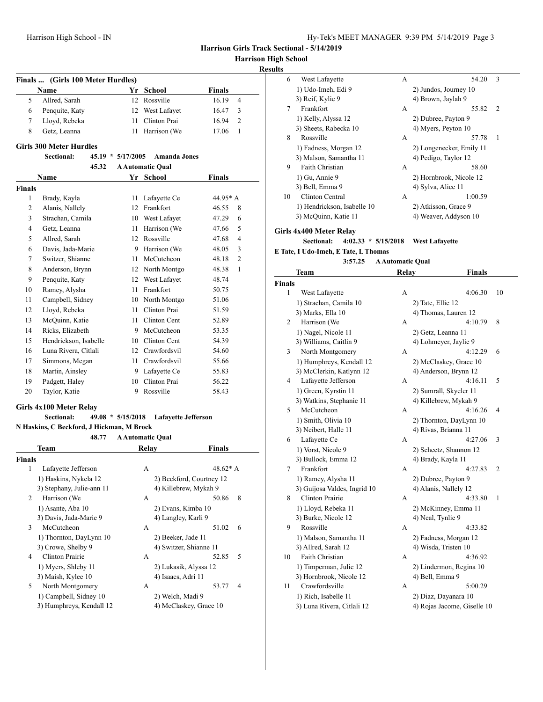**Harrison High Sc** 

# **Results**

| <b>Finals</b> | (Girls 100 Meter Hurdles)                          |      |                                                |                         |
|---------------|----------------------------------------------------|------|------------------------------------------------|-------------------------|
|               | Name                                               |      | Yr School                                      | Finals                  |
| 5             | Allred, Sarah                                      |      | 12 Rossville                                   | 16.19<br>$\overline{4}$ |
| 6             | Penquite, Katy                                     |      | 12 West Lafayet                                | 16.47<br>3              |
| 7             | Lloyd, Rebeka                                      | 11 - | Clinton Prai                                   | 2<br>16.94              |
| 8             | Getz, Leanna                                       | 11   | Harrison (We                                   | 17.06<br>1              |
|               | <b>Girls 300 Meter Hurdles</b>                     |      |                                                |                         |
|               | <b>Sectional:</b><br>$45.19 * 5/17/2005$<br>45.32  |      | <b>Amanda Jones</b><br><b>A Automatic Qual</b> |                         |
|               | Name                                               |      | Yr School                                      | <b>Finals</b>           |
| <b>Finals</b> |                                                    |      |                                                |                         |
| 1             | Brady, Kayla                                       | 11   | Lafayette Ce                                   | 44.95* A                |
| 2             | Alanis, Nallely                                    |      | 12 Frankfort                                   | 46.55<br>8              |
| 3             | Strachan, Camila                                   |      | 10 West Lafayet                                | 47.29<br>6              |
| 4             | Getz, Leanna                                       |      | 11 Harrison (We                                | 5<br>47.66              |
| 5             |                                                    |      | 12 Rossville                                   | $\overline{4}$          |
| 6             | Allred, Sarah<br>Davis, Jada-Marie                 |      | 9 Harrison (We                                 | 47.68<br>3              |
|               |                                                    |      | 11 McCutcheon                                  | 48.05<br>2              |
| 7<br>8        | Switzer, Shianne                                   |      |                                                | 48.18<br>1<br>48.38     |
| 9             | Anderson, Brynn<br>Penquite, Katy                  |      | 12 North Montgo<br>12 West Lafayet             | 48.74                   |
| 10            | Ramey, Alysha                                      |      | 11 Frankfort                                   |                         |
| 11            | Campbell, Sidney                                   |      | 10 North Montgo                                | 50.75<br>51.06          |
| 12            | Lloyd, Rebeka                                      |      | 11 Clinton Prai                                | 51.59                   |
|               | McQuinn, Katie                                     |      | 11 Clinton Cent                                |                         |
| 13            |                                                    |      | 9 McCutcheon                                   | 52.89                   |
| 14            | Ricks, Elizabeth                                   |      |                                                | 53.35                   |
| 15            | Hendrickson, Isabelle                              |      | 10 Clinton Cent                                | 54.39                   |
| 16            | Luna Rivera, Citlali                               |      | 12 Crawfordsvil                                | 54.60                   |
| 17            | Simmons, Megan                                     |      | 11 Crawfordsvil                                | 55.66                   |
| 18            | Martin, Ainsley                                    |      | 9 Lafayette Ce                                 | 55.83                   |
| 19            | Padgett, Haley                                     |      | 10 Clinton Prai                                | 56.22                   |
| 20            | Taylor, Katie                                      |      | 9 Rossville                                    | 58.43                   |
|               | Girls 4x100 Meter Relay                            |      |                                                |                         |
|               | 49.08 * 5/15/2018<br><b>Sectional:</b>             |      | <b>Lafavette Jefferson</b>                     |                         |
|               | N Haskins, C Beckford, J Hickman, M Brock<br>48.77 |      |                                                |                         |
|               | Team                                               |      | <b>A Automatic Qual</b><br>Relay               | Finals                  |
|               |                                                    |      |                                                |                         |
| <b>Finals</b> |                                                    |      |                                                |                         |
| 1             | Lafayette Jefferson<br>1) Haskins, Nykela 12       |      | A<br>2) Beckford, Courtney 12                  | 48.62* A                |
|               | 3) Stephany, Julie-ann 11                          |      | 4) Killebrew, Mykah 9                          |                         |
| 2             | Harrison (We                                       |      | А                                              | 50.86<br>8              |
|               | 1) Asante, Aba 10                                  |      | 2) Evans, Kimba 10                             |                         |
|               | 3) Davis, Jada-Marie 9                             |      | 4) Langley, Karli 9                            |                         |
| 3             | McCutcheon                                         |      | A                                              | 6<br>51.02              |
|               | 1) Thornton, DayLynn 10                            |      | 2) Beeker, Jade 11                             |                         |
|               | 3) Crowe, Shelby 9                                 |      | 4) Switzer, Shianne 11                         |                         |
| 4             | Clinton Prairie                                    |      | А                                              | 5<br>52.85              |
|               | 1) Myers, Shleby 11                                |      | 2) Lukasik, Alyssa 12                          |                         |
|               | 3) Maish, Kylee 10                                 |      | 4) Isaacs, Adri 11                             |                         |

5 North Montgomery A 53.77 4 1) Campbell, Sidney 10<br>
2) Welch, Madi 9<br>
2) Welch, Madi 9<br>
2) Welch, Madi 9<br>
2) Humphrave Kendall 12<br>
2) McClaskey, Gra 3) Humphreys, Kendall 12 4) McClaskey, Grace 10

| igh School<br>ults |                             |   |                          |   |
|--------------------|-----------------------------|---|--------------------------|---|
| 6                  | West Lafayette              | A | 54.20                    | 3 |
|                    | 1) Udo-Imeh, Edi 9          |   | 2) Jundos, Journey 10    |   |
|                    | 3) Reif, Kylie 9            |   | 4) Brown, Jaylah 9       |   |
| $\tau$             | <b>Frankfort</b>            | A | 55.82                    | 2 |
|                    | 1) Kelly, Alyssa 12         |   | 2) Dubree, Payton 9      |   |
|                    | 3) Sheets, Rabecka 10       |   | 4) Myers, Peyton 10      |   |
| 8                  | Rossville                   | A | 57.78                    | 1 |
|                    | 1) Fadness, Morgan 12       |   | 2) Longenecker, Emily 11 |   |
|                    | 3) Malson, Samantha 11      |   | 4) Pedigo, Taylor 12     |   |
| 9                  | <b>Faith Christian</b>      | A | 58.60                    |   |
|                    | 1) Gu, Annie 9              |   | 2) Hornbrook, Nicole 12  |   |
|                    | 3) Bell, Emma 9             |   | 4) Sylva, Alice 11       |   |
| 10                 | Clinton Central             | A | 1:00.59                  |   |
|                    | 1) Hendrickson, Isabelle 10 |   | 2) Atkisson, Grace 9     |   |
|                    | 3) McQuinn, Katie 11        |   | 4) Weaver, Addyson 10    |   |
|                    | Girls 4x400 Meter Relay     |   |                          |   |

**Sectional: 4:02.33 \* 5/15/2018 West Lafayette**

**E Tate, I Udo-Imeh, E Tate, L Thomas**

|               | 3:57.25                      | <b>A Automatic Qual</b> |                             |    |
|---------------|------------------------------|-------------------------|-----------------------------|----|
|               | Team                         | <b>Relay</b>            | <b>Finals</b>               |    |
| <b>Finals</b> |                              |                         |                             |    |
| 1             | West Lafayette               | А                       | 4:06.30                     | 10 |
|               | 1) Strachan, Camila 10       |                         | 2) Tate, Ellie 12           |    |
|               | 3) Marks, Ella 10            |                         | 4) Thomas, Lauren 12        |    |
| 2             | Harrison (We                 | А                       | 4:10.79                     | 8  |
|               | 1) Nagel, Nicole 11          |                         | 2) Getz, Leanna 11          |    |
|               | 3) Williams, Caitlin 9       |                         | 4) Lohmeyer, Jaylie 9       |    |
| 3             | North Montgomery             | А                       | 4:12.29                     | 6  |
|               | 1) Humphreys, Kendall 12     |                         | 2) McClaskey, Grace 10      |    |
|               | 3) McClerkin, Katlynn 12     |                         | 4) Anderson, Brynn 12       |    |
| 4             | Lafayette Jefferson          | A                       | 4:16.11                     | 5  |
|               | 1) Green, Kyrstin 11         |                         | 2) Sumrall, Skyeler 11      |    |
|               | 3) Watkins, Stephanie 11     |                         | 4) Killebrew, Mykah 9       |    |
| 5             | McCutcheon                   | A                       | 4:16.26                     | 4  |
|               | 1) Smith, Olivia 10          |                         | 2) Thornton, DayLynn 10     |    |
|               | 3) Neibert, Halle 11         |                         | 4) Rivas, Brianna 11        |    |
| 6             | Lafayette Ce                 | A                       | 4:27.06                     | 3  |
|               | 1) Vorst, Nicole 9           |                         | 2) Scheetz, Shannon 12      |    |
|               | 3) Bullock, Emma 12          |                         | 4) Brady, Kayla 11          |    |
| 7             | Frankfort                    | A                       | 4:27.83                     | 2  |
|               | 1) Ramey, Alysha 11          |                         | 2) Dubree, Payton 9         |    |
|               | 3) Guijosa Valdes, Ingrid 10 |                         | 4) Alanis, Nallely 12       |    |
| 8             | <b>Clinton Prairie</b>       | A                       | 4:33.80                     | 1  |
|               | 1) Lloyd, Rebeka 11          |                         | 2) McKinney, Emma 11        |    |
|               | 3) Burke, Nicole 12          |                         | 4) Neal, Tynlie 9           |    |
| 9             | Rossville                    | A                       | 4:33.82                     |    |
|               | 1) Malson, Samantha 11       |                         | 2) Fadness, Morgan 12       |    |
|               | 3) Allred, Sarah 12          |                         | 4) Wisda, Tristen 10        |    |
| 10            | <b>Faith Christian</b>       | А                       | 4:36.92                     |    |
|               | 1) Timperman, Julie 12       |                         | 2) Lindermon, Regina 10     |    |
|               | 3) Hornbrook, Nicole 12      |                         | 4) Bell, Emma 9             |    |
| 11            | Crawfordsville               | A                       | 5:00.29                     |    |
|               | 1) Rich, Isabelle 11         |                         | 2) Diaz, Dayanara 10        |    |
|               | 3) Luna Rivera, Citlali 12   |                         | 4) Rojas Jacome, Giselle 10 |    |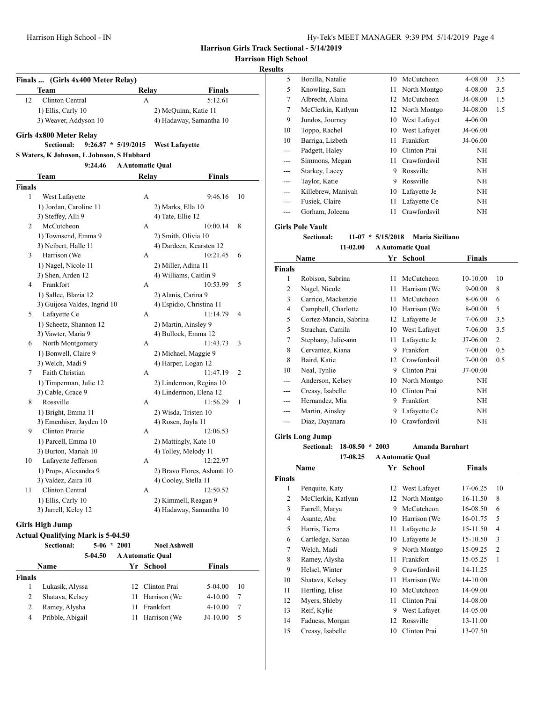**Harrison High School**

# **Results**

| <b>Finals</b> | (Girls 4x400 Meter Relay)                 |                         |                             |    |
|---------------|-------------------------------------------|-------------------------|-----------------------------|----|
|               | Team                                      | Relay                   | <b>Finals</b>               |    |
| 12            | Clinton Central                           | А                       | 5:12.61                     |    |
|               | 1) Ellis, Carly 10                        |                         | 2) McQuinn, Katie 11        |    |
|               | 3) Weaver, Addyson 10                     |                         | 4) Hadaway, Samantha 10     |    |
|               | Girls 4x800 Meter Relay                   |                         |                             |    |
|               | $9:26.87 * 5/19/2015$<br>Sectional:       |                         | <b>West Lafayette</b>       |    |
|               | S Waters, K Johnson, L Johnson, S Hubbard |                         |                             |    |
|               | 9:24.46                                   | <b>A Automatic Oual</b> |                             |    |
|               | Team                                      | Relay                   | Finals                      |    |
| <b>Finals</b> |                                           |                         |                             |    |
| 1             | West Lafayette                            | А                       | 9:46.16                     | 10 |
|               | 1) Jordan, Caroline 11                    |                         | 2) Marks, Ella 10           |    |
|               | 3) Steffey, Alli 9                        |                         | 4) Tate, Ellie 12           |    |
| 2             | McCutcheon                                | А                       | 10:00.14                    | 8  |
|               | 1) Townsend, Emma 9                       |                         | 2) Smith, Olivia 10         |    |
|               | 3) Neibert, Halle 11                      |                         | 4) Dardeen, Kearsten 12     |    |
| 3             | Harrison (We                              | A                       | 10:21.45                    | 6  |
|               | 1) Nagel, Nicole 11                       |                         | 2) Miller, Adina 11         |    |
|               | 3) Shen, Arden 12                         |                         | 4) Williams, Caitlin 9      |    |
| 4             | Frankfort                                 | А                       | 10:53.99                    | 5  |
|               | 1) Sallee, Blazia 12                      |                         | 2) Alanis, Carina 9         |    |
|               | 3) Guijosa Valdes, Ingrid 10              |                         | 4) Espidio, Christina 11    |    |
| 5             | Lafayette Ce                              | А                       | 11:14.79                    | 4  |
|               | 1) Scheetz, Shannon 12                    |                         | 2) Martin, Ainsley 9        |    |
|               | 3) Vawter, Maria 9                        |                         | 4) Bullock, Emma 12         |    |
| 6             | North Montgomery                          | A                       | 11:43.73                    | 3  |
|               | 1) Bonwell, Claire 9                      |                         | 2) Michael, Maggie 9        |    |
|               | 3) Welch, Madi 9                          |                         | 4) Harper, Logan 12         |    |
| 7             | Faith Christian                           | A                       | 11:47.19                    | 2  |
|               | 1) Timperman, Julie 12                    |                         | 2) Lindermon, Regina 10     |    |
|               | 3) Cable, Grace 9                         |                         | 4) Lindermon, Elena 12      |    |
| 8             | Rossville                                 | А                       | 11:56.29                    | 1  |
|               | 1) Bright, Emma 11                        |                         | 2) Wisda, Tristen 10        |    |
|               | 3) Emenhiser, Jayden 10                   |                         | 4) Rosen, Jayla 11          |    |
| 9             | Clinton Prairie                           | А                       | 12:06.53                    |    |
|               | 1) Parcell, Emma 10                       |                         | 2) Mattingly, Kate 10       |    |
|               | 3) Burton, Mariah 10                      |                         | 4) Tolley, Melody 11        |    |
| 10            | Lafayette Jefferson                       | А                       | 12:22.97                    |    |
|               | 1) Props, Alexandra 9                     |                         | 2) Bravo Flores, Ashanti 10 |    |
|               | 3) Valdez, Zaira 10                       |                         | 4) Cooley, Stella 11        |    |
| 11            | Clinton Central                           | A                       | 12:50.52                    |    |
|               | 1) Ellis, Carly 10                        |                         | 2) Kimmell, Reagan 9        |    |
|               | 3) Jarrell, Kelcy 12                      |                         | 4) Hadaway, Samantha 10     |    |
|               | <b>Girls High Jump</b>                    |                         |                             |    |
|               | <b>Actual Qualifying Mark is 5-04.50</b>  |                         |                             |    |

|               | <b>Actual Qualifying Mark is 5-04.50</b> |         |         |                         |               |    |  |  |
|---------------|------------------------------------------|---------|---------|-------------------------|---------------|----|--|--|
|               | <b>Sectional:</b>                        | $5-06$  | $*2001$ | <b>Noel Ashwell</b>     |               |    |  |  |
|               |                                          | 5-04.50 |         | <b>A Automatic Qual</b> |               |    |  |  |
|               | Name                                     |         | Yr.     | School                  | <b>Finals</b> |    |  |  |
| <b>Finals</b> |                                          |         |         |                         |               |    |  |  |
| 1             | Lukasik, Alyssa                          |         | 12.     | Clinton Prai            | $5-04.00$     | 10 |  |  |
| 2             | Shatava, Kelsey                          |         |         | 11 Harrison (We         | $4 - 10.00$   | 7  |  |  |
| 2             | Ramey, Alysha                            |         | 11      | Frankfort               | $4 - 10.00$   | 7  |  |  |
| 4             | Pribble, Abigail                         |         | 11      | Harrison (We            | $J4-10.00$    | 5  |  |  |

| э     |                    |    |                 |             |     |  |
|-------|--------------------|----|-----------------|-------------|-----|--|
| 5     | Bonilla, Natalie   | 10 | McCutcheon      | 4-08.00     | 3.5 |  |
| 5     | Knowling, Sam      | 11 | North Montgo    | 4-08.00     | 3.5 |  |
| 7     | Albrecht, Alaina   |    | 12 McCutcheon   | J4-08.00    | 1.5 |  |
| 7     | McClerkin, Katlynn |    | 12 North Montgo | J4-08.00    | 1.5 |  |
| 9     | Jundos, Journey    | 10 | West Lafayet    | $4 - 06.00$ |     |  |
| 10    | Toppo, Rachel      | 10 | West Lafayet    | J4-06.00    |     |  |
| 10    | Barriga, Lizbeth   | 11 | Frankfort       | J4-06.00    |     |  |
| ---   | Padgett, Haley     | 10 | Clinton Prai    | NH          |     |  |
| ---   | Simmons, Megan     | 11 | Crawfordsvil    | ΝH          |     |  |
| ---   | Starkey, Lacey     | 9  | Rossville       | ΝH          |     |  |
| ---   | Taylor, Katie      | 9  | Rossville       | ΝH          |     |  |
| $---$ | Killebrew, Maniyah | 10 | Lafayette Je    | ΝH          |     |  |
| ---   | Fusiek, Claire     | 11 | Lafayette Ce    | NH          |     |  |
| ---   | Gorham, Joleena    | 11 | Crawfordsvil    | NH          |     |  |

### **Girls Pole Vault**

**Sectional: 11-07 \* 5/15/2018 Maria Siciliano**

**11-02.00 A Automatic Qual**

|                | Name                   |    | Yr School    | Finals      |     |
|----------------|------------------------|----|--------------|-------------|-----|
| <b>Finals</b>  |                        |    |              |             |     |
| 1              | Robison, Sabrina       | 11 | McCutcheon   | $10-10.00$  | 10  |
| 2              | Nagel, Nicole          | 11 | Harrison (We | $9 - 00.00$ | 8   |
| 3              | Carrico, Mackenzie     | 11 | McCutcheon   | 8-06.00     | 6   |
| $\overline{4}$ | Campbell, Charlotte    | 10 | Harrison (We | 8-00.00     | 5   |
| 5              | Cortez-Mancia, Sabrina | 12 | Lafayette Je | 7-06.00     | 3.5 |
| 5              | Strachan, Camila       | 10 | West Lafayet | 7-06.00     | 3.5 |
| 7              | Stephany, Julie-ann    | 11 | Lafayette Je | J7-06.00    | 2   |
| 8              | Cervantez, Kiana       | 9  | Frankfort    | 7-00.00     | 0.5 |
| 8              | Baird, Katie           | 12 | Crawfordsvil | 7-00.00     | 0.5 |
| 10             | Neal, Tynlie           | 9  | Clinton Prai | $J7-00.00$  |     |
| ---            | Anderson, Kelsey       | 10 | North Montgo | NH          |     |
| ---            | Creasy, Isabelle       | 10 | Clinton Prai | NH          |     |
| ---            | Hernandez, Mia         | 9  | Frankfort    | NH          |     |
| ---            | Martin, Ainsley        | 9  | Lafayette Ce | NH          |     |
|                | Diaz, Dayanara         | 10 | Crawfordsvil | ΝH          |     |
|                |                        |    |              |             |     |

# **Girls Long Jump**

**Sectional: 18-08.50 \* 2003 Amanda Barnhart**

**17-08.25 A Automatic Qual**

|               | Name               | Yr | School       | Finals   |    |
|---------------|--------------------|----|--------------|----------|----|
| <b>Finals</b> |                    |    |              |          |    |
| 1             | Penquite, Katy     | 12 | West Lafayet | 17-06.25 | 10 |
| 2             | McClerkin, Katlynn | 12 | North Montgo | 16-11.50 | 8  |
| 3             | Farrell, Marya     | 9  | McCutcheon   | 16-08.50 | 6  |
| 4             | Asante, Aba        | 10 | Harrison (We | 16-01.75 | 5  |
| 5             | Harris, Tierra     | 11 | Lafayette Je | 15-11.50 | 4  |
| 6             | Cartledge, Sanaa   | 10 | Lafayette Je | 15-10.50 | 3  |
| 7             | Welch, Madi        | 9  | North Montgo | 15-09.25 | 2  |
| 8             | Ramey, Alysha      | 11 | Frankfort    | 15-05.25 | 1  |
| 9             | Helsel, Winter     | 9  | Crawfordsvil | 14-11.25 |    |
| 10            | Shatava, Kelsey    | 11 | Harrison (We | 14-10.00 |    |
| 11            | Hertling, Elise    | 10 | McCutcheon   | 14-09.00 |    |
| 12            | Myers, Shleby      | 11 | Clinton Prai | 14-08.00 |    |
| 13            | Reif, Kylie        | 9  | West Lafayet | 14-05.00 |    |
| 14            | Fadness, Morgan    | 12 | Rossville    | 13-11.00 |    |
| 15            | Creasy, Isabelle   | 10 | Clinton Prai | 13-07.50 |    |